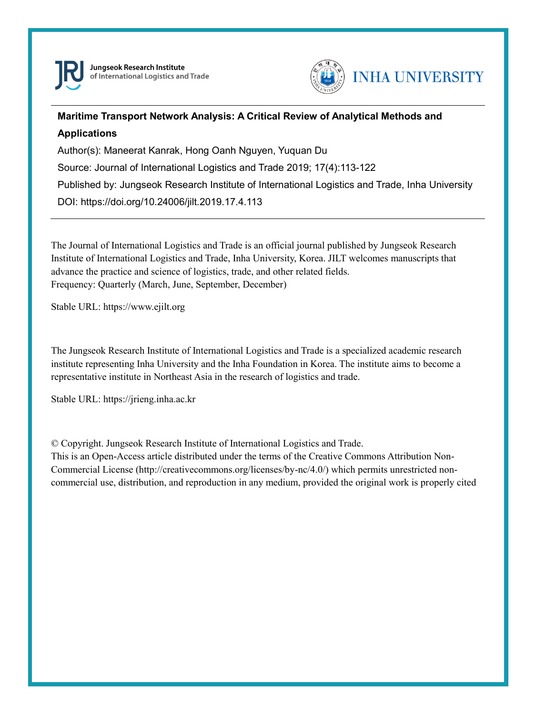



# **Maritime Transport Network Analysis: A Critical Review of Analytical Methods and Applications**

Author(s): Maneerat Kanrak, Hong Oanh Nguyen, Yuquan Du

Source: Journal of International Logistics and Trade 2019; 17(4):113-122

Published by: Jungseok Research Institute of International Logistics and Trade, Inha University

DOI: https://doi.org/10.24006/jilt.2019.17.4.113

The Journal of International Logistics and Trade is an official journal published by Jungseok Research Institute of International Logistics and Trade, Inha University, Korea. JILT welcomes manuscripts that advance the practice and science of logistics, trade, and other related fields. Frequency: Quarterly (March, June, September, December)

Stable URL: https://www.ejilt.org

The Jungseok Research Institute of International Logistics and Trade is a specialized academic research institute representing Inha University and the Inha Foundation in Korea. The institute aims to become a representative institute in Northeast Asia in the research of logistics and trade.

Stable URL: https://jrieng.inha.ac.kr

© Copyright. Jungseok Research Institute of International Logistics and Trade.

This is an Open-Access article distributed under the terms of the Creative Commons Attribution Non-Commercial License (http://creativecommons.org/licenses/by-nc/4.0/) which permits unrestricted noncommercial use, distribution, and reproduction in any medium, provided the original work is properly cited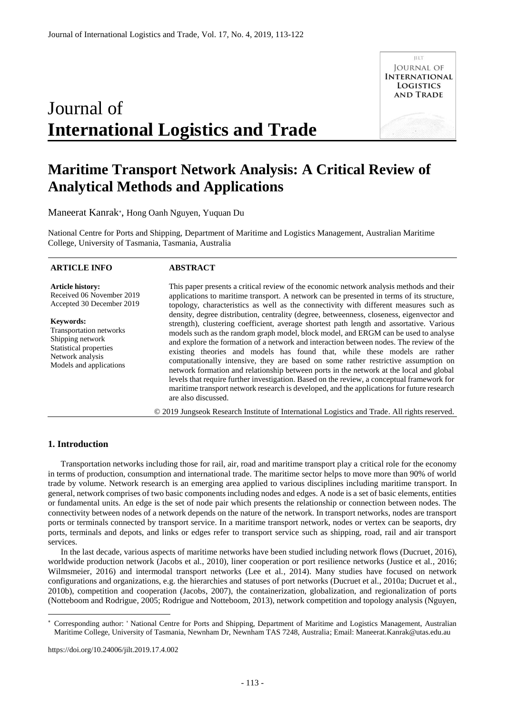# Journal of **International Logistics and Trade**



# **Maritime Transport Network Analysis: A Critical Review of Analytical Methods and Applications**

Maneerat Kanrak , Hong Oanh Nguyen, Yuquan Du

National Centre for Ports and Shipping, Department of Maritime and Logistics Management, Australian Maritime College, University of Tasmania, Tasmania, Australia

#### **ARTICLE INFO**

## **ABSTRACT**

**Article history:**  Received 06 November 2019 Accepted 30 December 2019

**Keywords:**  Transportation networks Shipping network Statistical properties Network analysis Models and applications This paper presents a critical review of the economic network analysis methods and their applications to maritime transport. A network can be presented in terms of its structure, topology, characteristics as well as the connectivity with different measures such as density, degree distribution, centrality (degree, betweenness, closeness, eigenvector and strength), clustering coefficient, average shortest path length and assortative. Various models such as the random graph model, block model, and ERGM can be used to analyse and explore the formation of a network and interaction between nodes. The review of the existing theories and models has found that, while these models are rather computationally intensive, they are based on some rather restrictive assumption on network formation and relationship between ports in the network at the local and global levels that require further investigation. Based on the review, a conceptual framework for maritime transport network research is developed, and the applications for future research are also discussed.

© 2019 Jungseok Research Institute of International Logistics and Trade. All rights reserved.

# **1. Introduction**

-

Transportation networks including those for rail, air, road and maritime transport play a critical role for the economy in terms of production, consumption and international trade. The maritime sector helps to move more than 90% of world trade by volume. Network research is an emerging area applied to various disciplines including maritime transport. In general, network comprises of two basic components including nodes and edges. A node is a set of basic elements, entities or fundamental units. An edge is the set of node pair which presents the relationship or connection between nodes. The connectivity between nodes of a network depends on the nature of the network. In transport networks, nodes are transport ports or terminals connected by transport service. In a maritime transport network, nodes or vertex can be seaports, dry ports, terminals and depots, and links or edges refer to transport service such as shipping, road, rail and air transport services.

In the last decade, various aspects of maritime networks have been studied including network flows (Ducruet, 2016), worldwide production network (Jacobs et al., 2010), liner cooperation or port resilience networks (Justice et al., 2016; Wilmsmeier, 2016) and intermodal transport networks (Lee et al., 2014). Many studies have focused on network configurations and organizations, e.g. the hierarchies and statuses of port networks (Ducruet et al., 2010a; Ducruet et al., 2010b), competition and cooperation (Jacobs, 2007), the containerization, globalization, and regionalization of ports (Notteboom and Rodrigue, 2005; Rodrigue and Notteboom, 2013), network competition and topology analysis (Nguyen,

Corresponding author: ' National Centre for Ports and Shipping, Department of Maritime and Logistics Management, Australian Maritime College, University of Tasmania, Newnham Dr, Newnham TAS 7248, Australia; Email: Maneerat.Kanrak@utas.edu.au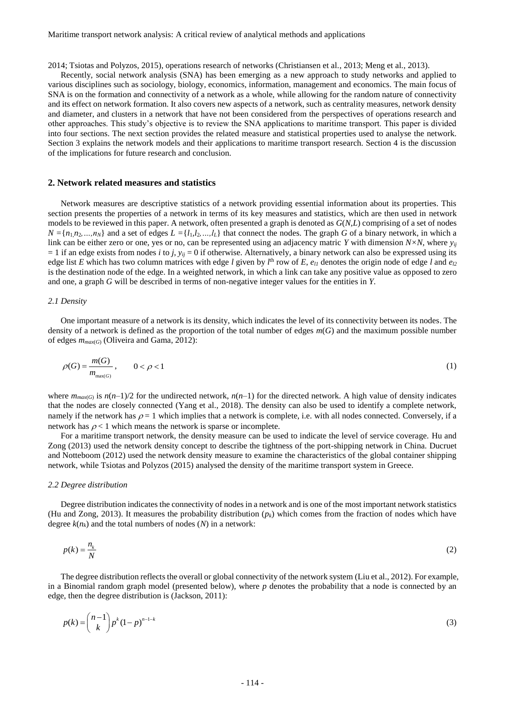2014; Tsiotas and Polyzos, 2015), operations research of networks (Christiansen et al., 2013; Meng et al., 2013).

Recently, social network analysis (SNA) has been emerging as a new approach to study networks and applied to various disciplines such as sociology, biology, economics, information, management and economics. The main focus of SNA is on the formation and connectivity of a network as a whole, while allowing for the random nature of connectivity and its effect on network formation. It also covers new aspects of a network, such as centrality measures, network density and diameter, and clusters in a network that have not been considered from the perspectives of operations research and other approaches. This study's objective is to review the SNA applications to maritime transport. This paper is divided into four sections. The next section provides the related measure and statistical properties used to analyse the network. Section 3 explains the network models and their applications to maritime transport research. Section 4 is the discussion of the implications for future research and conclusion.

### **2. Network related measures and statistics**

Network measures are descriptive statistics of a network providing essential information about its properties. This section presents the properties of a network in terms of its key measures and statistics, which are then used in network models to be reviewed in this paper. A network, often presented a graph is denoted as *G*(*N,L*) comprising of a set of nodes  $N = \{n_1, n_2, ..., n_N\}$  and a set of edges  $L = \{l_1, l_2, ..., l_L\}$  that connect the nodes. The graph *G* of a binary network, in which a link can be either zero or one, yes or no, can be represented using an adjacency matric *Y* with dimension  $N \times N$ , where  $y_{ij}$  $= 1$  if an edge exists from nodes *i* to *j*,  $y_{ij} = 0$  if otherwise. Alternatively, a binary network can also be expressed using its edge list *E* which has two column matrices with edge *l* given by  $l^{\text{th}}$  row of *E*,  $e_{ll}$  denotes the origin node of edge *l* and  $e_{l2}$ is the destination node of the edge. In a weighted network, in which a link can take any positive value as opposed to zero and one, a graph *G* will be described in terms of non-negative integer values for the entities in *Y*.

#### *2.1 Density*

One important measure of a network is its density, which indicates the level of its connectivity between its nodes. The density of a network is defined as the proportion of the total number of edges *m*(*G*) and the maximum possible number of edges *mmax*(*G*) (Oliveira and Gama, 2012):

$$
\rho(G) = \frac{m(G)}{m_{\max(G)}}, \qquad 0 < \rho < 1\tag{1}
$$

where  $m_{max(G)}$  is  $n(n-1)/2$  for the undirected network,  $n(n-1)$  for the directed network. A high value of density indicates that the nodes are closely connected (Yang et al., 2018). The density can also be used to identify a complete network, namely if the network has  $\rho = 1$  which implies that a network is complete, i.e. with all nodes connected. Conversely, if a network has  $\rho < 1$  which means the network is sparse or incomplete.

For a maritime transport network, the density measure can be used to indicate the level of service coverage. Hu and Zong (2013) used the network density concept to describe the tightness of the port-shipping network in China. Ducruet and Notteboom (2012) used the network density measure to examine the characteristics of the global container shipping network, while Tsiotas and Polyzos (2015) analysed the density of the maritime transport system in Greece.

#### *2.2 Degree distribution*

Degree distribution indicates the connectivity of nodes in a network and is one of the most important network statistics (Hu and Zong, 2013). It measures the probability distribution  $(p_k)$  which comes from the fraction of nodes which have degree  $k(n_k)$  and the total numbers of nodes  $(N)$  in a network:

$$
p(k) = \frac{n_k}{N} \tag{2}
$$

The degree distribution reflects the overall or global connectivity of the network system (Liu et al., 2012). For example, in a Binomial random graph model (presented below), where *p* denotes the probability that a node is connected by an edge, then the degree distribution is (Jackson, 2011):

$$
p(k) = \binom{n-1}{k} p^k (1-p)^{n-1-k} \tag{3}
$$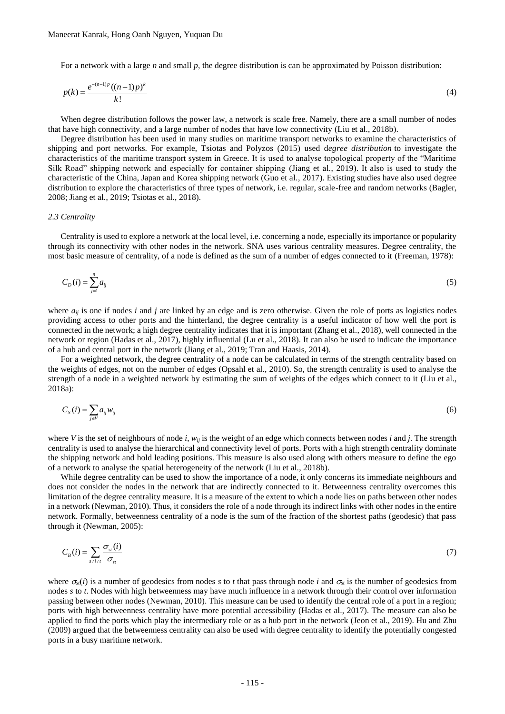For a network with a large *n* and small *p*, the degree distribution is can be approximated by Poisson distribution:

$$
p(k) = \frac{e^{-(n-1)p}((n-1)p)^k}{k!}
$$
 (4)

When degree distribution follows the power law, a network is scale free. Namely, there are a small number of nodes that have high connectivity, and a large number of nodes that have low connectivity (Liu et al., 2018b).

Degree distribution has been used in many studies on maritime transport networks to examine the characteristics of shipping and port networks. For example, Tsiotas and Polyzos (2015) used d*egree distribution* to investigate the characteristics of the maritime transport system in Greece. It is used to analyse topological property of the "Maritime Silk Road" shipping network and especially for container shipping (Jiang et al., 2019). It also is used to study the characteristic of the China, Japan and Korea shipping network (Guo et al., 2017). Existing studies have also used degree distribution to explore the characteristics of three types of network, i.e. regular, scale-free and random networks (Bagler, 2008; Jiang et al., 2019; Tsiotas et al., 2018).

#### *2.3 Centrality*

Centrality is used to explore a network at the local level, i.e. concerning a node, especially its importance or popularity through its connectivity with other nodes in the network. SNA uses various centrality measures. Degree centrality, the most basic measure of centrality, of a node is defined as the sum of a number of edges connected to it (Freeman, 1978):

$$
C_D(i) = \sum_{j=1}^{n} a_{ij} \tag{5}
$$

where *aij* is one if nodes *i* and *j* are linked by an edge and is zero otherwise. Given the role of ports as logistics nodes providing access to other ports and the hinterland, the degree centrality is a useful indicator of how well the port is connected in the network; a high degree centrality indicates that it is important (Zhang et al., 2018), well connected in the network or region (Hadas et al., 2017), highly influential (Lu et al., 2018). It can also be used to indicate the importance of a hub and central port in the network (Jiang et al., 2019; Tran and Haasis, 2014).

For a weighted network, the degree centrality of a node can be calculated in terms of the strength centrality based on the weights of edges, not on the number of edges (Opsahl et al., 2010). So, the strength centrality is used to analyse the strength of a node in a weighted network by estimating the sum of weights of the edges which connect to it (Liu et al., 2018a):

$$
C_{S}(i) = \sum_{j \in V} a_{ij} w_{ij} \tag{6}
$$

where *V* is the set of neighbours of node *i*, *wij* is the weight of an edge which connects between nodes *i* and *j*. The strength centrality is used to analyse the hierarchical and connectivity level of ports. Ports with a high strength centrality dominate the shipping network and hold leading positions. This measure is also used along with others measure to define the ego of a network to analyse the spatial heterogeneity of the network (Liu et al., 2018b).

While degree centrality can be used to show the importance of a node, it only concerns its immediate neighbours and does not consider the nodes in the network that are indirectly connected to it. Betweenness centrality overcomes this limitation of the degree centrality measure. It is a measure of the extent to which a node lies on paths between other nodes in a network (Newman, 2010). Thus, it considers the role of a node through its indirect links with other nodes in the entire network. Formally, betweenness centrality of a node is the sum of the fraction of the shortest paths (geodesic) that pass through it (Newman, 2005):

$$
C_B(i) = \sum_{s \neq i \neq i} \frac{\sigma_{st}(i)}{\sigma_{st}} \tag{7}
$$

where  $\sigma_{st}(i)$  is a number of geodesics from nodes *s* to *t* that pass through node *i* and  $\sigma_{st}$  is the number of geodesics from nodes *s* to *t*. Nodes with high betweenness may have much influence in a network through their control over information passing between other nodes (Newman, 2010). This measure can be used to identify the central role of a port in a region; ports with high betweenness centrality have more potential accessibility (Hadas et al., 2017). The measure can also be applied to find the ports which play the intermediary role or as a hub port in the network (Jeon et al., 2019). Hu and Zhu (2009) argued that the betweenness centrality can also be used with degree centrality to identify the potentially congested ports in a busy maritime network.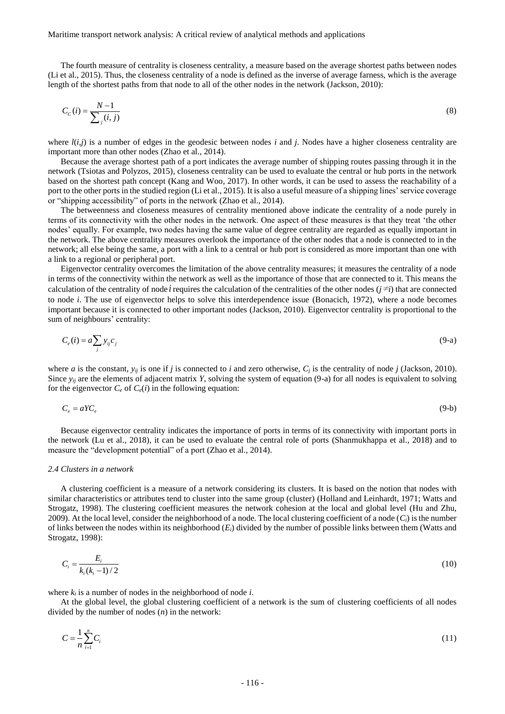Maritime transport network analysis: A critical review of analytical methods and applications

The fourth measure of centrality is closeness centrality, a measure based on the average shortest paths between nodes (Li et al., 2015). Thus, the closeness centrality of a node is defined as the inverse of average farness, which is the average length of the shortest paths from that node to all of the other nodes in the network (Jackson, 2010):

$$
C_c(i) = \frac{N-1}{\sum_{j}(i,j)}
$$
(8)

where  $l(i,j)$  is a number of edges in the geodesic between nodes *i* and *j*. Nodes have a higher closeness centrality are important more than other nodes (Zhao et al., 2014).

Because the average shortest path of a port indicates the average number of shipping routes passing through it in the network (Tsiotas and Polyzos, 2015), closeness centrality can be used to evaluate the central or hub ports in the network based on the shortest path concept (Kang and Woo, 2017). In other words, it can be used to assess the reachability of a port to the other ports in the studied region (Li et al., 2015). It is also a useful measure of a shipping lines' service coverage or "shipping accessibility" of ports in the network (Zhao et al., 2014).

The betweenness and closeness measures of centrality mentioned above indicate the centrality of a node purely in terms of its connectivity with the other nodes in the network. One aspect of these measures is that they treat 'the other nodes' equally. For example, two nodes having the same value of degree centrality are regarded as equally important in the network. The above centrality measures overlook the importance of the other nodes that a node is connected to in the network; all else being the same, a port with a link to a central or hub port is considered as more important than one with a link to a regional or peripheral port.

Eigenvector centrality overcomes the limitation of the above centrality measures; it measures the centrality of a node in terms of the connectivity within the network as well as the importance of those that are connected to it. This means the calculation of the centrality of node *i* requires the calculation of the centralities of the other nodes  $(j \neq i)$  that are connected to node *i*. The use of eigenvector helps to solve this interdependence issue (Bonacich, 1972), where a node becomes important because it is connected to other important nodes (Jackson, 2010). Eigenvector centrality is proportional to the sum of neighbours' centrality:

$$
C_e(i) = a \sum_j y_{ij} c_j \tag{9-a}
$$

where *a* is the constant,  $y_{ii}$  is one if *j* is connected to *i* and zero otherwise,  $C_i$  is the centrality of node *j* (Jackson, 2010). Since  $y_i$  are the elements of adjacent matrix *Y*, solving the system of equation (9-a) for all nodes is equivalent to solving for the eigenvector  $C_e$  of  $C_e(i)$  in the following equation:

$$
C_e = aY C_e \tag{9-b}
$$

Because eigenvector centrality indicates the importance of ports in terms of its connectivity with important ports in the network (Lu et al., 2018), it can be used to evaluate the central role of ports (Shanmukhappa et al., 2018) and to measure the "development potential" of a port (Zhao et al., 2014).

#### *2.4 Clusters in a network*

A clustering coefficient is a measure of a network considering its clusters. It is based on the notion that nodes with similar characteristics or attributes tend to cluster into the same group (cluster) (Holland and Leinhardt, 1971; Watts and Strogatz, 1998). The clustering coefficient measures the network cohesion at the local and global level (Hu and Zhu, 2009). At the local level, consider the neighborhood of a node. The local clustering coefficient of a node  $(C_i)$  is the number of links between the nodes within its neighborhood  $(E_i)$  divided by the number of possible links between them (Watts and Strogatz, 1998):

$$
C_i = \frac{E_i}{k_i (k_i - 1)/2} \tag{10}
$$

where  $k_i$  is a number of nodes in the neighborhood of node  $i$ .

At the global level, the global clustering coefficient of a network is the sum of clustering coefficients of all nodes divided by the number of nodes (*n*) in the network:

$$
C = \frac{1}{n} \sum_{i=1}^{n} C_i
$$
\n
$$
(11)
$$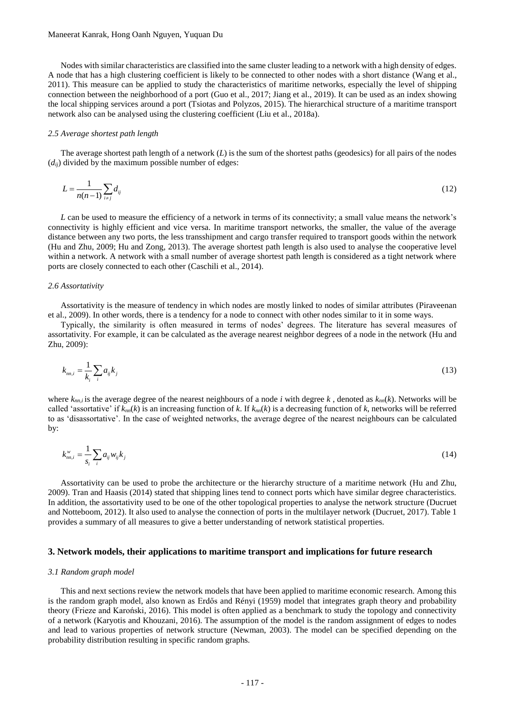Nodes with similar characteristics are classified into the same cluster leading to a network with a high density of edges. A node that has a high clustering coefficient is likely to be connected to other nodes with a short distance (Wang et al., 2011). This measure can be applied to study the characteristics of maritime networks, especially the level of shipping connection between the neighborhood of a port (Guo et al., 2017; Jiang et al., 2019). It can be used as an index showing the local shipping services around a port (Tsiotas and Polyzos, 2015). The hierarchical structure of a maritime transport network also can be analysed using the clustering coefficient (Liu et al., 2018a).

#### *2.5 Average shortest path length*

The average shortest path length of a network (*L*) is the sum of the shortest paths (geodesics) for all pairs of the nodes  $(d_{ij})$  divided by the maximum possible number of edges:

$$
L = \frac{1}{n(n-1)} \sum_{i \neq j} d_{ij} \tag{12}
$$

*L* can be used to measure the efficiency of a network in terms of its connectivity; a small value means the network's connectivity is highly efficient and vice versa. In maritime transport networks, the smaller, the value of the average distance between any two ports, the less transshipment and cargo transfer required to transport goods within the network (Hu and Zhu, 2009; Hu and Zong, 2013). The average shortest path length is also used to analyse the cooperative level within a network. A network with a small number of average shortest path length is considered as a tight network where ports are closely connected to each other (Caschili et al., 2014).

#### *2.6 Assortativity*

Assortativity is the measure of tendency in which nodes are mostly linked to nodes of similar attributes (Piraveenan et al., 2009). In other words, there is a tendency for a node to connect with other nodes similar to it in some ways.

Typically, the similarity is often measured in terms of nodes' degrees. The literature has several measures of assortativity. For example, it can be calculated as the average nearest neighbor degrees of a node in the network (Hu and Zhu, 2009):

$$
k_{m,i} = \frac{1}{k_i} \sum_i a_{ij} k_j \tag{13}
$$

where  $k_{mn,i}$  is the average degree of the nearest neighbours of a node *i* with degree *k*, denoted as  $k_{mn}(k)$ . Networks will be called 'assortative' if  $k_{nn}(k)$  is an increasing function of k. If  $k_{nn}(k)$  is a decreasing function of k, networks will be referred to as 'disassortative'. In the case of weighted networks, the average degree of the nearest neighbours can be calculated by:

$$
k_{m,i}^{\nu} = \frac{1}{s_i} \sum_{i} a_{ij} w_{ij} k_j \tag{14}
$$

Assortativity can be used to probe the architecture or the hierarchy structure of a maritime network (Hu and Zhu, 2009). Tran and Haasis (2014) stated that shipping lines tend to connect ports which have similar degree characteristics. In addition, the assortativity used to be one of the other topological properties to analyse the network structure (Ducruet and Notteboom, 2012). It also used to analyse the connection of ports in the multilayer network (Ducruet, 2017). Table 1 provides a summary of all measures to give a better understanding of network statistical properties.

#### **3. Network models, their applications to maritime transport and implications for future research**

#### *3.1 Random graph model*

This and next sections review the network models that have been applied to maritime economic research. Among this is the random graph model, also known as Erdős and Rényi (1959) model that integrates graph theory and probability theory (Frieze and Karoński, 2016). This model is often applied as a benchmark to study the topology and connectivity of a network (Karyotis and Khouzani, 2016). The assumption of the model is the random assignment of edges to nodes and lead to various properties of network structure (Newman, 2003). The model can be specified depending on the probability distribution resulting in specific random graphs.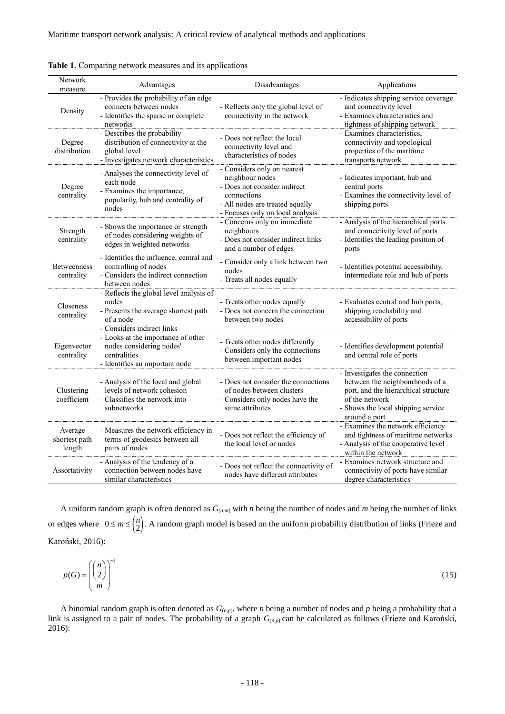| Network<br>measure                 | Advantages                                                                                                                          | Disadvantages                                                                                                                                                        | Applications                                                                                                                                                                      |  |
|------------------------------------|-------------------------------------------------------------------------------------------------------------------------------------|----------------------------------------------------------------------------------------------------------------------------------------------------------------------|-----------------------------------------------------------------------------------------------------------------------------------------------------------------------------------|--|
| Density                            | - Provides the probability of an edge<br>connects between nodes<br>- Identifies the sparse or complete<br>networks                  | - Reflects only the global level of<br>connectivity in the network                                                                                                   | - Indicates shipping service coverage<br>and connectivity level<br>- Examines characteristics and<br>tightness of shipping network                                                |  |
| Degree<br>distribution             | - Describes the probability<br>distribution of connectivity at the<br>global level<br>- Investigates network characteristics        | - Does not reflect the local<br>connectivity level and<br>characteristics of nodes                                                                                   | - Examines characteristics,<br>connectivity and topological<br>properties of the maritime<br>transports network                                                                   |  |
| Degree<br>centrality               | - Analyses the connectivity level of<br>each node<br>- Examines the importance,<br>popularity, hub and centrality of<br>nodes       | - Considers only on nearest<br>neighbour nodes<br>- Does not consider indirect<br>connections<br>- All nodes are treated equally<br>- Focuses only on local analysis | - Indicates important, hub and<br>central ports<br>- Examines the connectivity level of<br>shipping ports                                                                         |  |
| Strength<br>centrality             | - Shows the importance or strength<br>of nodes considering weights of<br>edges in weighted networks                                 | - Concerns only on immediate<br>neighbours<br>- Does not consider indirect links<br>and a number of edges                                                            | - Analysis of the hierarchical ports<br>and connectivity level of ports<br>- Identifies the leading position of<br>ports                                                          |  |
| <b>Betweenness</b><br>centrality   | - Identifies the influence, central and<br>controlling of nodes<br>- Considers the indirect connection<br>between nodes             | - Consider only a link between two<br>nodes<br>- Treats all nodes equally                                                                                            | - Identifies potential accessibility,<br>intermediate role and hub of ports                                                                                                       |  |
| Closeness<br>centrality            | - Reflects the global level analysis of<br>nodes<br>- Presents the average shortest path<br>of a node<br>- Considers indirect links | - Treats other nodes equally<br>- Does not concern the connection<br>between two nodes                                                                               | - Evaluates central and hub ports,<br>shipping reachability and<br>accessibility of ports                                                                                         |  |
| Eigenvector<br>centrality          | - Looks at the importance of other<br>nodes considering nodes'<br>centralities<br>- Identifies an important node                    | - Treats other nodes differently<br>- Considers only the connections<br>between important nodes                                                                      | - Identifies development potential<br>and central role of ports                                                                                                                   |  |
| Clustering<br>coefficient          | - Analysis of the local and global<br>levels of network cohesion<br>- Classifies the network into<br>subnetworks                    | - Does not consider the connections<br>of nodes between clusters<br>- Considers only nodes have the<br>same attributes                                               | - Investigates the connection<br>between the neighbourhoods of a<br>port, and the hierarchical structure<br>of the network<br>- Shows the local shipping service<br>around a port |  |
| Average<br>shortest path<br>length | - Measures the network efficiency in<br>terms of geodesics between all<br>pairs of nodes                                            | - Does not reflect the efficiency of<br>the local level or nodes                                                                                                     | - Examines the network efficiency<br>and tightness of maritime networks<br>- Analysis of the cooperative level<br>within the network                                              |  |
| Assortativity                      | - Analysis of the tendency of a<br>connection between nodes have<br>similar characteristics                                         | - Does not reflect the connectivity of<br>nodes have different attributes                                                                                            | - Examines network structure and<br>connectivity of ports have similar<br>degree characteristics                                                                                  |  |

|  | Table 1. Comparing network measures and its applications |  |
|--|----------------------------------------------------------|--|
|  |                                                          |  |

A uniform random graph is often denoted as *G*(*n,m*) with *n* being the number of nodes and *m* being the number of links or edges where  $0 \le m \le {\binom{n}{2}}$ .  $\leq m \leq \binom{n}{2}$ . A random graph model is based on the uniform probability distribution of links (Frieze and Karoński, 2016):

$$
p(G) = \left(\binom{n}{2}^{\text{-}1}\right)^{\text{-}1} \tag{15}
$$

A binomial random graph is often denoted as *G*(*n,p*), where *n* being a number of nodes and *p* being a probability that a link is assigned to a pair of nodes. The probability of a graph *G*(*n,p*) can be calculated as follows (Frieze and Karoński, 2016):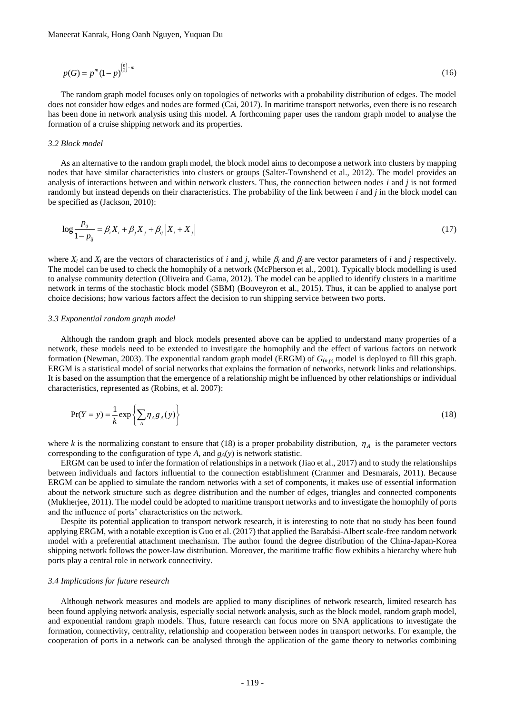$$
p(G) = p^{m} (1-p)^{{m \choose 2} - m}
$$
 (16)

The random graph model focuses only on topologies of networks with a probability distribution of edges. The model does not consider how edges and nodes are formed (Cai, 2017). In maritime transport networks, even there is no research has been done in network analysis using this model. A forthcoming paper uses the random graph model to analyse the formation of a cruise shipping network and its properties.

#### *3.2 Block model*

As an alternative to the random graph model, the block model aims to decompose a network into clusters by mapping nodes that have similar characteristics into clusters or groups (Salter-Townshend et al., 2012). The model provides an analysis of interactions between and within network clusters. Thus, the connection between nodes *i* and *j* is not formed randomly but instead depends on their characteristics. The probability of the link between *i* and *j* in the block model can be specified as (Jackson, 2010):

$$
\log \frac{p_{ij}}{1 - p_{ij}} = \beta_i X_i + \beta_j X_j + \beta_{ij} |X_i + X_j|
$$
\n(17)

where  $X_i$  and  $X_j$  are the vectors of characteristics of *i* and *j*, while  $\beta_i$  and  $\beta_j$  are vector parameters of *i* and *j* respectively. The model can be used to check the homophily of a network (McPherson et al., 2001). Typically block modelling is used to analyse community detection (Oliveira and Gama, 2012). The model can be applied to identify clusters in a maritime network in terms of the stochastic block model (SBM) (Bouveyron et al., 2015). Thus, it can be applied to analyse port choice decisions; how various factors affect the decision to run shipping service between two ports.

#### *3.3 Exponential random graph model*

Although the random graph and block models presented above can be applied to understand many properties of a network, these models need to be extended to investigate the homophily and the effect of various factors on network formation (Newman, 2003). The exponential random graph model (ERGM) of *G*(*n,p*) model is deployed to fill this graph. ERGM is a statistical model of social networks that explains the formation of networks, network links and relationships. It is based on the assumption that the emergence of a relationship might be influenced by other relationships or individual characteristics, represented as (Robins, et al. 2007):

$$
\Pr(Y = y) = \frac{1}{k} \exp\left\{\sum_{A} \eta_A g_A(y)\right\} \tag{18}
$$

where *k* is the normalizing constant to ensure that (18) is a proper probability distribution,  $\eta_A$  is the parameter vectors corresponding to the configuration of type *A*, and *gA*(*y*) is network statistic.

ERGM can be used to infer the formation of relationships in a network (Jiao et al., 2017) and to study the relationships between individuals and factors influential to the connection establishment (Cranmer and Desmarais, 2011). Because ERGM can be applied to simulate the random networks with a set of components, it makes use of essential information about the network structure such as degree distribution and the number of edges, triangles and connected components (Mukherjee, 2011). The model could be adopted to maritime transport networks and to investigate the homophily of ports and the influence of ports' characteristics on the network.

Despite its potential application to transport network research, it is interesting to note that no study has been found applying ERGM, with a notable exception is Guo et al. (2017) that applied the Barabási-Albert scale-free random network model with a preferential attachment mechanism. The author found the degree distribution of the China-Japan-Korea shipping network follows the power-law distribution. Moreover, the maritime traffic flow exhibits a hierarchy where hub ports play a central role in network connectivity.

#### *3.4 Implications for future research*

Although network measures and models are applied to many disciplines of network research, limited research has been found applying network analysis, especially social network analysis, such as the block model, random graph model, and exponential random graph models. Thus, future research can focus more on SNA applications to investigate the formation, connectivity, centrality, relationship and cooperation between nodes in transport networks. For example, the cooperation of ports in a network can be analysed through the application of the game theory to networks combining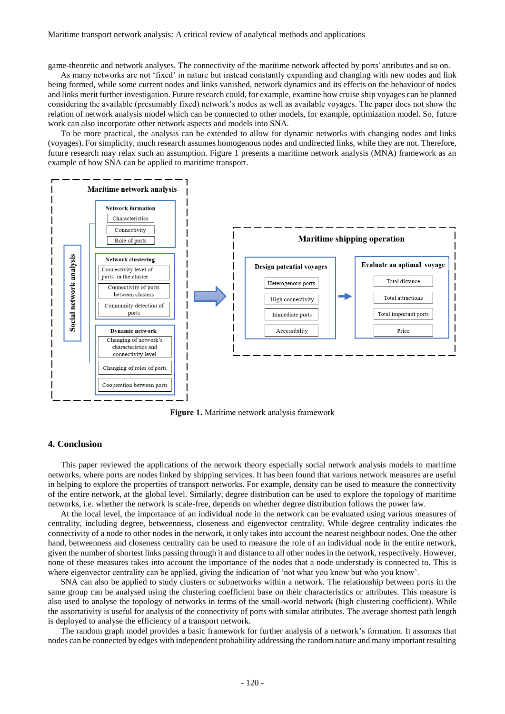game-theoretic and network analyses. The connectivity of the maritime network affected by ports' attributes and so on.

As many networks are not 'fixed' in nature but instead constantly expanding and changing with new nodes and link being formed, while some current nodes and links vanished, network dynamics and its effects on the behaviour of nodes and links merit further investigation. Future research could, for example, examine how cruise ship voyages can be planned considering the available (presumably fixed) network's nodes as well as available voyages. The paper does not show the relation of network analysis model which can be connected to other models, for example, optimization model. So, future work can also incorporate other network aspects and models into SNA.

To be more practical, the analysis can be extended to allow for dynamic networks with changing nodes and links (voyages). For simplicity, much research assumes homogenous nodes and undirected links, while they are not. Therefore, future research may relax such an assumption. Figure 1 presents a maritime network analysis (MNA) framework as an example of how SNA can be applied to maritime transport.



**Figure 1.** Maritime network analysis framework

## **4. Conclusion**

This paper reviewed the applications of the network theory especially social network analysis models to maritime networks, where ports are nodes linked by shipping services. It has been found that various network measures are useful in helping to explore the properties of transport networks. For example, density can be used to measure the connectivity of the entire network, at the global level. Similarly, degree distribution can be used to explore the topology of maritime networks, i.e. whether the network is scale-free, depends on whether degree distribution follows the power law.

At the local level, the importance of an individual node in the network can be evaluated using various measures of centrality, including degree, betweenness, closeness and eigenvector centrality. While degree centrality indicates the connectivity of a node to other nodes in the network, it only takes into account the nearest neighbour nodes. One the other hand, betweenness and closeness centrality can be used to measure the role of an individual node in the entire network, given the number of shortest links passing through it and distance to all other nodes in the network, respectively. However, none of these measures takes into account the importance of the nodes that a node understudy is connected to. This is where eigenvector centrality can be applied, giving the indication of 'not what you know but who you know'.

SNA can also be applied to study clusters or subnetworks within a network. The relationship between ports in the same group can be analysed using the clustering coefficient base on their characteristics or attributes. This measure is also used to analyse the topology of networks in terms of the small-world network (high clustering coefficient). While the assortativity is useful for analysis of the connectivity of ports with similar attributes. The average shortest path length is deployed to analyse the efficiency of a transport network.

The random graph model provides a basic framework for further analysis of a network's formation. It assumes that nodes can be connected by edges with independent probability addressing the random nature and many important resulting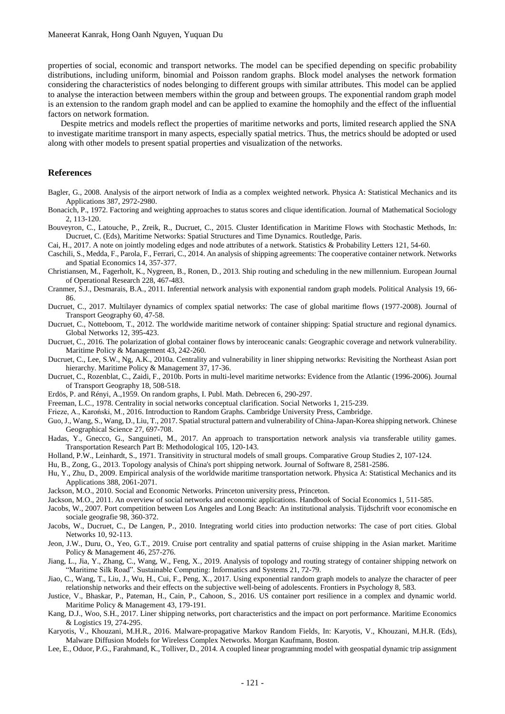properties of social, economic and transport networks. The model can be specified depending on specific probability distributions, including uniform, binomial and Poisson random graphs. Block model analyses the network formation considering the characteristics of nodes belonging to different groups with similar attributes. This model can be applied to analyse the interaction between members within the group and between groups. The exponential random graph model is an extension to the random graph model and can be applied to examine the homophily and the effect of the influential factors on network formation.

Despite metrics and models reflect the properties of maritime networks and ports, limited research applied the SNA to investigate maritime transport in many aspects, especially spatial metrics. Thus, the metrics should be adopted or used along with other models to present spatial properties and visualization of the networks.

#### **References**

- Bagler, G., 2008. Analysis of the airport network of India as a complex weighted network. Physica A: Statistical Mechanics and its Applications 387, 2972-2980.
- Bonacich, P., 1972. Factoring and weighting approaches to status scores and clique identification. Journal of Mathematical Sociology 2, 113-120.
- Bouveyron, C., Latouche, P., Zreik, R., Ducruet, C., 2015. Cluster Identification in Maritime Flows with Stochastic Methods, In: Ducruet, C. (Eds), Maritime Networks: Spatial Structures and Time Dynamics. Routledge, Paris.

Cai, H., 2017. A note on jointly modeling edges and node attributes of a network. Statistics & Probability Letters 121, 54-60.

Caschili, S., Medda, F., Parola, F., Ferrari, C., 2014. An analysis of shipping agreements: The cooperative container network. Networks and Spatial Economics 14, 357-377.

- Christiansen, M., Fagerholt, K., Nygreen, B., Ronen, D., 2013. Ship routing and scheduling in the new millennium. European Journal of Operational Research 228, 467-483.
- Cranmer, S.J., Desmarais, B.A., 2011. Inferential network analysis with exponential random graph models. Political Analysis 19, 66- 86.
- Ducruet, C., 2017. Multilayer dynamics of complex spatial networks: The case of global maritime flows (1977-2008). Journal of Transport Geography 60, 47-58.
- Ducruet, C., Notteboom, T., 2012. The worldwide maritime network of container shipping: Spatial structure and regional dynamics. Global Networks 12, 395-423.
- Ducruet, C., 2016. The polarization of global container flows by interoceanic canals: Geographic coverage and network vulnerability. Maritime Policy & Management 43, 242-260.
- Ducruet, C., Lee, S.W., Ng, A.K., 2010a. Centrality and vulnerability in liner shipping networks: Revisiting the Northeast Asian port hierarchy. Maritime Policy & Management 37, 17-36.
- Ducruet, C., Rozenblat, C., Zaidi, F., 2010b. Ports in multi-level maritime networks: Evidence from the Atlantic (1996-2006). Journal of Transport Geography 18, 508-518.
- Erdös, P. and Rényi, A.,1959. On random graphs, I. Publ. Math. Debrecen 6, 290-297.
- Freeman, L.C., 1978. Centrality in social networks conceptual clarification. Social Networks 1, 215-239.
- Frieze, A., Karoński, M., 2016. Introduction to Random Graphs. Cambridge University Press, Cambridge.
- Guo, J., Wang, S., Wang, D., Liu, T., 2017. Spatial structural pattern and vulnerability of China-Japan-Korea shipping network. Chinese Geographical Science 27, 697-708.
- Hadas, Y., Gnecco, G., Sanguineti, M., 2017. An approach to transportation network analysis via transferable utility games. Transportation Research Part B: Methodological 105, 120-143.
- Holland, P.W., Leinhardt, S., 1971. Transitivity in structural models of small groups. Comparative Group Studies 2, 107-124.

Hu, B., Zong, G., 2013. Topology analysis of China's port shipping network. Journal of Software 8, 2581-2586.

- Hu, Y., Zhu, D., 2009. Empirical analysis of the worldwide maritime transportation network. Physica A: Statistical Mechanics and its Applications 388, 2061-2071.
- Jackson, M.O., 2010. Social and Economic Networks. Princeton university press, Princeton.
- Jackson, M.O., 2011. An overview of social networks and economic applications. Handbook of Social Economics 1, 511-585.
- Jacobs, W., 2007. Port competition between Los Angeles and Long Beach: An institutional analysis. Tijdschrift voor economische en sociale geografie 98, 360-372.
- Jacobs, W., Ducruet, C., De Langen, P., 2010. Integrating world cities into production networks: The case of port cities. Global Networks 10, 92-113.
- Jeon, J.W., Duru, O., Yeo, G.T., 2019. Cruise port centrality and spatial patterns of cruise shipping in the Asian market. Maritime Policy & Management 46, 257-276.
- Jiang, L., Jia, Y., Zhang, C., Wang, W., Feng, X., 2019. Analysis of topology and routing strategy of container shipping network on "Maritime Silk Road". Sustainable Computing: Informatics and Systems 21, 72-79.
- Jiao, C., Wang, T., Liu, J., Wu, H., Cui, F., Peng, X., 2017. Using exponential random graph models to analyze the character of peer relationship networks and their effects on the subjective well-being of adolescents. Frontiers in Psychology 8, 583.
- Justice, V., Bhaskar, P., Pateman, H., Cain, P., Cahoon, S., 2016. US container port resilience in a complex and dynamic world. Maritime Policy & Management 43, 179-191.
- Kang, D.J., Woo, S.H., 2017. Liner shipping networks, port characteristics and the impact on port performance. Maritime Economics & Logistics 19, 274-295.
- Karyotis, V., Khouzani, M.H.R., 2016. Malware-propagative Markov Random Fields, In: Karyotis, V., Khouzani, M.H.R. (Eds), Malware Diffusion Models for Wireless Complex Networks. Morgan Kaufmann, Boston.
- Lee, E., Oduor, P.G., Farahmand, K., Tolliver, D., 2014. A coupled linear programming model with geospatial dynamic trip assignment